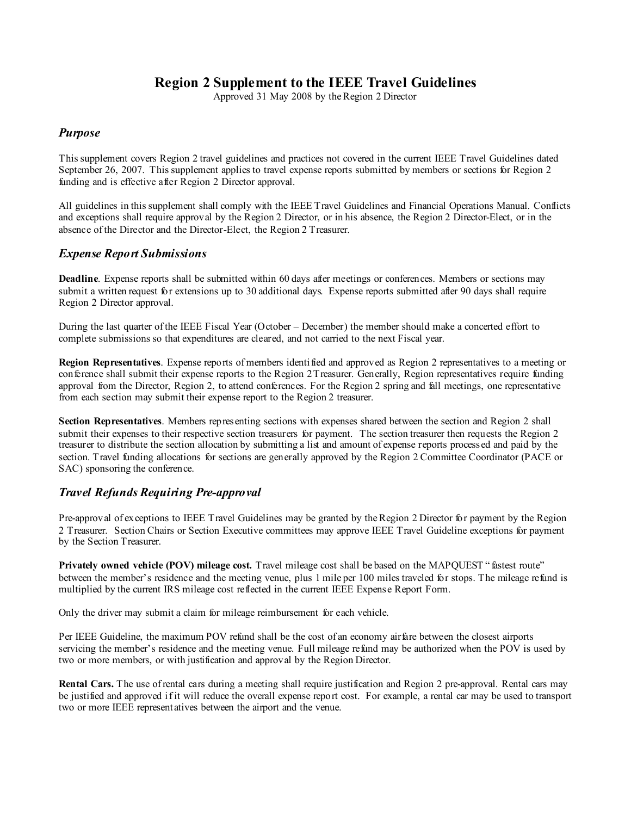## **Region 2 Supplement to the IEEE Travel Guidelines**

Approved 31 May 2008 by the Region 2 Director

## *Purpose*

This supplement covers Region 2 travel guidelines and practices not covered in the current IEEE Travel Guidelines dated September 26, 2007. This supplement applies to travel expense reports submitted by members or sections for Region 2 funding and is effective after Region 2 Director approval.

All guidelines in this supplement shall comply with the IEEE Travel Guidelines and Financial Operations Manual. Conflicts and exceptions shall require approval by the Region 2 Director, or in his absence, the Region 2 Director-Elect, or in the absence of the Director and the Director-Elect, the Region 2 Treasurer.

## *Expense Report Submissions*

**Deadline**. Expense reports shall be submitted within 60 days after meetings or conferences. Members or sections may submit a written request for extensions up to 30 additional days. Expense reports submitted after 90 days shall require Region 2 Director approval.

During the last quarter of the IEEE Fiscal Year (October – December) the member should make a concerted effort to complete submissions so that expenditures are cleared, and not carried to the next Fiscal year.

**Region Representatives**. Expense reports of members identified and approved as Region 2 representatives to a meeting or conference shall submit their expense reports to the Region 2Treasurer. Generally, Region representatives require funding approval from the Director, Region 2, to attend conferences. For the Region 2 spring and fall meetings, one representative from each section may submit their expense report to the Region 2 treasurer.

**Section Representatives**. Members representing sections with expenses shared between the section and Region 2 shall submit their expenses to their respective section treasurers for payment. The section treasurer then requests the Region 2 treasurer to distribute the section allocation by submitting a list and amount of expense reports processed and paid by the section. Travel funding allocations for sections are generally approved by the Region 2 Committee Coordinator (PACE or SAC) sponsoring the conference.

## *Travel Refunds Requiring Pre-approval*

Pre-approval of exceptions to IEEE Travel Guidelines may be granted by the Region 2 Director for payment by the Region 2 Treasurer. Section Chairs or Section Executive committees may approve IEEE Travel Guideline exceptions for payment by the Section Treasurer.

**Privately owned vehicle (POV) mileage cost.** Travel mileage cost shall be based on the MAPQUEST " fastest route" between the member's residence and the meeting venue, plus 1 mile per 100 miles traveled for stops. The mileage refund is multiplied by the current IRS mileage cost reflected in the current IEEE Expense Report Form.

Only the driver may submit a claim for mileage reimbursement for each vehicle.

Per IEEE Guideline, the maximum POV refund shall be the cost of an economy airfare between the closest airports servicing the member's residence and the meeting venue. Full mileage refund may be authorized when the POV is used by two or more members, or with justification and approval by the Region Director.

**Rental Cars.** The use of rental cars during a meeting shall require justification and Region 2 pre-approval. Rental cars may be justified and approved if it will reduce the overall expense report cost. For example, a rental car may be used to transport two or more IEEE representatives between the airport and the venue.